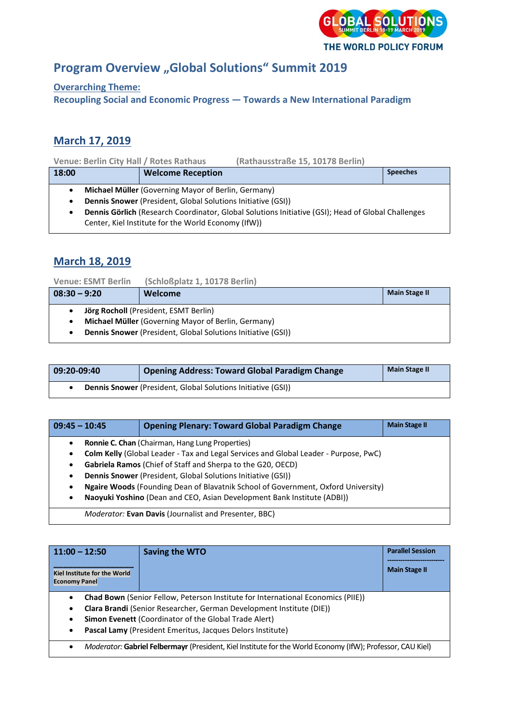

# **Program Overview "Global Solutions" Summit 2019**

## **Overarching Theme:**

**Recoupling Social and Economic Progress — Towards a New International Paradigm**

## **March 17, 2019**

| Venue: Berlin City Hall / Rotes Rathaus |                                                                                                    |                                                     | (Rathausstraße 15, 10178 Berlin) |                 |
|-----------------------------------------|----------------------------------------------------------------------------------------------------|-----------------------------------------------------|----------------------------------|-----------------|
| 18:00                                   |                                                                                                    | <b>Welcome Reception</b>                            |                                  | <b>Speeches</b> |
|                                         |                                                                                                    | Michael Müller (Governing Mayor of Berlin, Germany) |                                  |                 |
| ٠                                       | <b>Dennis Snower</b> (President, Global Solutions Initiative (GSI))                                |                                                     |                                  |                 |
| ٠                                       | Dennis Görlich (Research Coordinator, Global Solutions Initiative (GSI); Head of Global Challenges |                                                     |                                  |                 |
|                                         |                                                                                                    | Center, Kiel Institute for the World Economy (IfW)) |                                  |                 |

| <b>Venue: ESMT Berlin</b> | (Schloßplatz 1, 10178 Berlin)                                |                      |
|---------------------------|--------------------------------------------------------------|----------------------|
| $08:30 - 9:20$            | <b>Welcome</b>                                               | <b>Main Stage II</b> |
|                           | Jörg Rocholl (President, ESMT Berlin)                        |                      |
| ٠                         | Michael Müller (Governing Mayor of Berlin, Germany)          |                      |
|                           | Dennis Snower (President, Global Solutions Initiative (GSI)) |                      |

| 09:20-09:40                                                         | <b>Opening Address: Toward Global Paradigm Change</b> | <b>Main Stage II</b> |
|---------------------------------------------------------------------|-------------------------------------------------------|----------------------|
| <b>Dennis Snower</b> (President, Global Solutions Initiative (GSI)) |                                                       |                      |

| $09:45 - 10:45$ |                                                                     | <b>Opening Plenary: Toward Global Paradigm Change</b>                                | <b>Main Stage II</b> |
|-----------------|---------------------------------------------------------------------|--------------------------------------------------------------------------------------|----------------------|
| ٠               |                                                                     | Ronnie C. Chan (Chairman, Hang Lung Properties)                                      |                      |
| $\bullet$       |                                                                     | Colm Kelly (Global Leader - Tax and Legal Services and Global Leader - Purpose, PwC) |                      |
| ٠               |                                                                     | Gabriela Ramos (Chief of Staff and Sherpa to the G20, OECD)                          |                      |
| $\bullet$       | <b>Dennis Snower</b> (President, Global Solutions Initiative (GSI)) |                                                                                      |                      |
| $\bullet$       |                                                                     | Ngaire Woods (Founding Dean of Blavatnik School of Government, Oxford University)    |                      |
| $\bullet$       |                                                                     | Naoyuki Yoshino (Dean and CEO, Asian Development Bank Institute (ADBI))              |                      |
|                 |                                                                     | <b>Moderator: Evan Davis (Journalist and Presenter, BBC)</b>                         |                      |

| $11:00 - 12:50$<br>Kiel Institute for the World<br><b>Economy Panel</b>                                                                                                                                                                                                                                           | <b>Saving the WTO</b> | <b>Parallel Session</b><br><b>Main Stage II</b> |
|-------------------------------------------------------------------------------------------------------------------------------------------------------------------------------------------------------------------------------------------------------------------------------------------------------------------|-----------------------|-------------------------------------------------|
| <b>Chad Bown (Senior Fellow, Peterson Institute for International Economics (PIIE))</b><br>٠<br>Clara Brandi (Senior Researcher, German Development Institute (DIE))<br>٠<br><b>Simon Evenett (Coordinator of the Global Trade Alert)</b><br>٠<br>Pascal Lamy (President Emeritus, Jacques Delors Institute)<br>٠ |                       |                                                 |
| Moderator: Gabriel Felbermayr (President, Kiel Institute for the World Economy (IfW); Professor, CAU Kiel)<br>$\bullet$                                                                                                                                                                                           |                       |                                                 |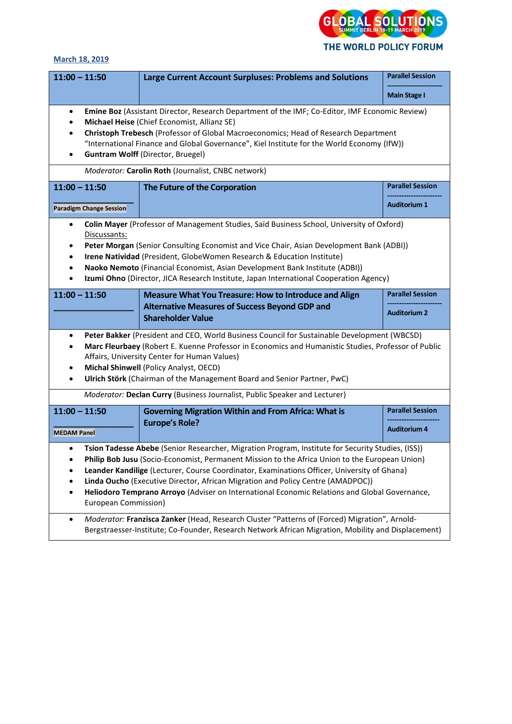

| $11:00 - 11:50$                                                                                                                                                                                                                                                                                                                                                                                                                                                                                                                  |                                                                                                                                                                                                      | <b>Large Current Account Surpluses: Problems and Solutions</b>                                                                                                                                                                                                                                                                                                                 | <b>Parallel Session</b> |
|----------------------------------------------------------------------------------------------------------------------------------------------------------------------------------------------------------------------------------------------------------------------------------------------------------------------------------------------------------------------------------------------------------------------------------------------------------------------------------------------------------------------------------|------------------------------------------------------------------------------------------------------------------------------------------------------------------------------------------------------|--------------------------------------------------------------------------------------------------------------------------------------------------------------------------------------------------------------------------------------------------------------------------------------------------------------------------------------------------------------------------------|-------------------------|
|                                                                                                                                                                                                                                                                                                                                                                                                                                                                                                                                  |                                                                                                                                                                                                      |                                                                                                                                                                                                                                                                                                                                                                                | <b>Main Stage I</b>     |
| $\bullet$<br>$\bullet$<br>٠                                                                                                                                                                                                                                                                                                                                                                                                                                                                                                      |                                                                                                                                                                                                      | Emine Boz (Assistant Director, Research Department of the IMF; Co-Editor, IMF Economic Review)<br>Michael Heise (Chief Economist, Allianz SE)<br>Christoph Trebesch (Professor of Global Macroeconomics; Head of Research Department<br>"International Finance and Global Governance", Kiel Institute for the World Economy (IfW))<br><b>Guntram Wolff (Director, Bruegel)</b> |                         |
|                                                                                                                                                                                                                                                                                                                                                                                                                                                                                                                                  |                                                                                                                                                                                                      | Moderator: Carolin Roth (Journalist, CNBC network)                                                                                                                                                                                                                                                                                                                             |                         |
| $11:00 - 11:50$                                                                                                                                                                                                                                                                                                                                                                                                                                                                                                                  |                                                                                                                                                                                                      | The Future of the Corporation                                                                                                                                                                                                                                                                                                                                                  | <b>Parallel Session</b> |
|                                                                                                                                                                                                                                                                                                                                                                                                                                                                                                                                  | <b>Paradigm Change Session</b>                                                                                                                                                                       |                                                                                                                                                                                                                                                                                                                                                                                | <b>Auditorium 1</b>     |
| Colin Mayer (Professor of Management Studies, Saïd Business School, University of Oxford)<br>٠<br>Discussants:<br>Peter Morgan (Senior Consulting Economist and Vice Chair, Asian Development Bank (ADBI))<br>٠<br>Irene Natividad (President, GlobeWomen Research & Education Institute)<br>$\bullet$<br>Naoko Nemoto (Financial Economist, Asian Development Bank Institute (ADBI))<br>٠<br>Izumi Ohno (Director, JICA Research Institute, Japan International Cooperation Agency)<br>٠                                        |                                                                                                                                                                                                      |                                                                                                                                                                                                                                                                                                                                                                                |                         |
| $11:00 - 11:50$                                                                                                                                                                                                                                                                                                                                                                                                                                                                                                                  |                                                                                                                                                                                                      | <b>Measure What You Treasure: How to Introduce and Align</b>                                                                                                                                                                                                                                                                                                                   | <b>Parallel Session</b> |
|                                                                                                                                                                                                                                                                                                                                                                                                                                                                                                                                  |                                                                                                                                                                                                      | <b>Alternative Measures of Success Beyond GDP and</b><br><b>Shareholder Value</b>                                                                                                                                                                                                                                                                                              | <b>Auditorium 2</b>     |
| Peter Bakker (President and CEO, World Business Council for Sustainable Development (WBCSD)<br>$\bullet$<br>Marc Fleurbaey (Robert E. Kuenne Professor in Economics and Humanistic Studies, Professor of Public<br>٠<br>Affairs, University Center for Human Values)<br>Michal Shinwell (Policy Analyst, OECD)<br>٠<br>Ulrich Störk (Chairman of the Management Board and Senior Partner, PwC)<br>$\bullet$                                                                                                                      |                                                                                                                                                                                                      |                                                                                                                                                                                                                                                                                                                                                                                |                         |
|                                                                                                                                                                                                                                                                                                                                                                                                                                                                                                                                  |                                                                                                                                                                                                      | Moderator: Declan Curry (Business Journalist, Public Speaker and Lecturer)                                                                                                                                                                                                                                                                                                     |                         |
| $11:00 - 11:50$                                                                                                                                                                                                                                                                                                                                                                                                                                                                                                                  |                                                                                                                                                                                                      | <b>Governing Migration Within and From Africa: What is</b>                                                                                                                                                                                                                                                                                                                     | <b>Parallel Session</b> |
| <b>MEDAM Panel</b>                                                                                                                                                                                                                                                                                                                                                                                                                                                                                                               |                                                                                                                                                                                                      | <b>Europe's Role?</b>                                                                                                                                                                                                                                                                                                                                                          | <b>Auditorium 4</b>     |
| Tsion Tadesse Abebe (Senior Researcher, Migration Program, Institute for Security Studies, (ISS))<br>٠<br>Philip Bob Jusu (Socio-Economist, Permanent Mission to the Africa Union to the European Union)<br>Leander Kandilige (Lecturer, Course Coordinator, Examinations Officer, University of Ghana)<br>Linda Oucho (Executive Director, African Migration and Policy Centre (AMADPOC))<br>Heliodoro Temprano Arroyo (Adviser on International Economic Relations and Global Governance,<br>$\bullet$<br>European Commission) |                                                                                                                                                                                                      |                                                                                                                                                                                                                                                                                                                                                                                |                         |
| ٠                                                                                                                                                                                                                                                                                                                                                                                                                                                                                                                                | Moderator: Franzisca Zanker (Head, Research Cluster "Patterns of (Forced) Migration", Arnold-<br>Bergstraesser-Institute; Co-Founder, Research Network African Migration, Mobility and Displacement) |                                                                                                                                                                                                                                                                                                                                                                                |                         |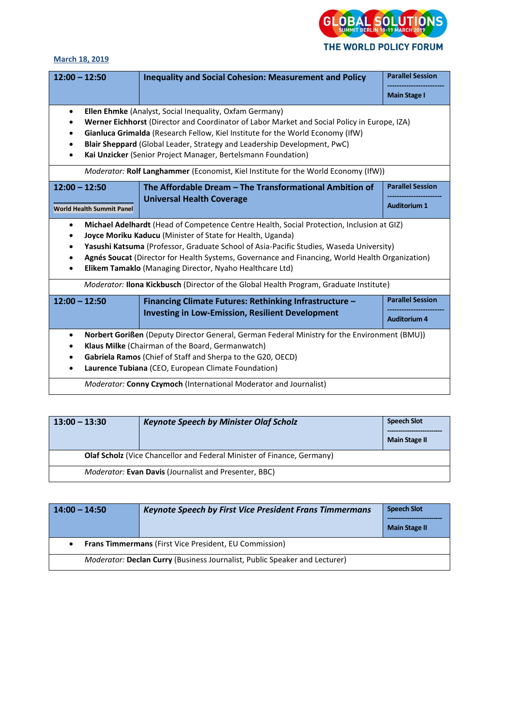

| $12:00 - 12:50$                                                                                                                                                                                                                                                                                                                                                                                                                                                                                  |                                                                                                                                                                                                                                                                                                                                                                                                                   | <b>Inequality and Social Cohesion: Measurement and Policy</b>                                                                                                                                                                                                                                                                               | <b>Parallel Session</b>                        |
|--------------------------------------------------------------------------------------------------------------------------------------------------------------------------------------------------------------------------------------------------------------------------------------------------------------------------------------------------------------------------------------------------------------------------------------------------------------------------------------------------|-------------------------------------------------------------------------------------------------------------------------------------------------------------------------------------------------------------------------------------------------------------------------------------------------------------------------------------------------------------------------------------------------------------------|---------------------------------------------------------------------------------------------------------------------------------------------------------------------------------------------------------------------------------------------------------------------------------------------------------------------------------------------|------------------------------------------------|
|                                                                                                                                                                                                                                                                                                                                                                                                                                                                                                  |                                                                                                                                                                                                                                                                                                                                                                                                                   |                                                                                                                                                                                                                                                                                                                                             | <b>Main Stage I</b>                            |
| <b>Ellen Ehmke</b> (Analyst, Social Inequality, Oxfam Germany)<br>$\bullet$<br>Werner Eichhorst (Director and Coordinator of Labor Market and Social Policy in Europe, IZA)<br>Gianluca Grimalda (Research Fellow, Kiel Institute for the World Economy (IfW)<br>Blair Sheppard (Global Leader, Strategy and Leadership Development, PwC)<br>Kai Unzicker (Senior Project Manager, Bertelsmann Foundation)<br>Moderator: Rolf Langhammer (Economist, Kiel Institute for the World Economy (IfW)) |                                                                                                                                                                                                                                                                                                                                                                                                                   |                                                                                                                                                                                                                                                                                                                                             |                                                |
| The Affordable Dream - The Transformational Ambition of<br>$12:00 - 12:50$<br><b>Universal Health Coverage</b><br><b>World Health Summit Panel</b>                                                                                                                                                                                                                                                                                                                                               |                                                                                                                                                                                                                                                                                                                                                                                                                   | <b>Parallel Session</b><br><b>Auditorium 1</b>                                                                                                                                                                                                                                                                                              |                                                |
| $\bullet$<br>$\bullet$<br>$\bullet$<br>$\bullet$                                                                                                                                                                                                                                                                                                                                                                                                                                                 | Michael Adelhardt (Head of Competence Centre Health, Social Protection, Inclusion at GIZ)<br>Joyce Moriku Kaducu (Minister of State for Health, Uganda)<br>Yasushi Katsuma (Professor, Graduate School of Asia-Pacific Studies, Waseda University)<br>Agnés Soucat (Director for Health Systems, Governance and Financing, World Health Organization)<br>Elikem Tamaklo (Managing Director, Nyaho Healthcare Ltd) |                                                                                                                                                                                                                                                                                                                                             |                                                |
|                                                                                                                                                                                                                                                                                                                                                                                                                                                                                                  |                                                                                                                                                                                                                                                                                                                                                                                                                   | Moderator: Ilona Kickbusch (Director of the Global Health Program, Graduate Institute)                                                                                                                                                                                                                                                      |                                                |
| $12:00 - 12:50$                                                                                                                                                                                                                                                                                                                                                                                                                                                                                  |                                                                                                                                                                                                                                                                                                                                                                                                                   | Financing Climate Futures: Rethinking Infrastructure -<br><b>Investing in Low-Emission, Resilient Development</b>                                                                                                                                                                                                                           | <b>Parallel Session</b><br><b>Auditorium 4</b> |
| $\bullet$                                                                                                                                                                                                                                                                                                                                                                                                                                                                                        |                                                                                                                                                                                                                                                                                                                                                                                                                   | Norbert Gorißen (Deputy Director General, German Federal Ministry for the Environment (BMU))<br>Klaus Milke (Chairman of the Board, Germanwatch)<br>Gabriela Ramos (Chief of Staff and Sherpa to the G20, OECD)<br>Laurence Tubiana (CEO, European Climate Foundation)<br>Moderator: Conny Czymoch (International Moderator and Journalist) |                                                |

| $13:00 - 13:30$ | <b>Keynote Speech by Minister Olaf Scholz</b>                                 | <b>Speech Slot</b><br><b>Main Stage II</b> |
|-----------------|-------------------------------------------------------------------------------|--------------------------------------------|
|                 | <b>Olaf Scholz</b> (Vice Chancellor and Federal Minister of Finance, Germany) |                                            |
|                 | <i>Moderator:</i> Evan Davis (Journalist and Presenter, BBC)                  |                                            |

| $14:00 - 14:50$                                                            | <b>Keynote Speech by First Vice President Frans Timmermans</b>                    | <b>Speech Slot</b><br><b>Main Stage II</b> |
|----------------------------------------------------------------------------|-----------------------------------------------------------------------------------|--------------------------------------------|
| <b>Frans Timmermans</b> (First Vice President, EU Commission)<br>$\bullet$ |                                                                                   |                                            |
|                                                                            | <i>Moderator:</i> Declan Curry (Business Journalist, Public Speaker and Lecturer) |                                            |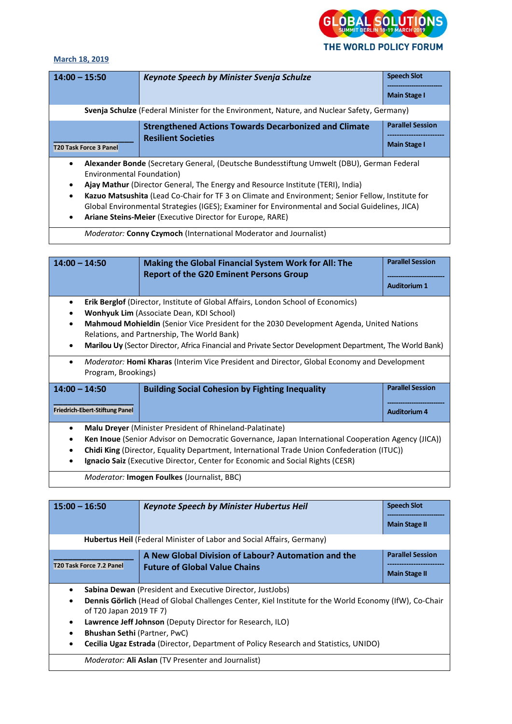

| $14:00 - 15:50$                                                                                                                                                                                                                                                                                                                                                                                                                                                                                  | Keynote Speech by Minister Svenja Schulze                                                  | <b>Speech Slot</b><br><b>Main Stage I</b>      |
|--------------------------------------------------------------------------------------------------------------------------------------------------------------------------------------------------------------------------------------------------------------------------------------------------------------------------------------------------------------------------------------------------------------------------------------------------------------------------------------------------|--------------------------------------------------------------------------------------------|------------------------------------------------|
|                                                                                                                                                                                                                                                                                                                                                                                                                                                                                                  | Svenja Schulze (Federal Minister for the Environment, Nature, and Nuclear Safety, Germany) |                                                |
| <b>T20 Task Force 3 Panel</b>                                                                                                                                                                                                                                                                                                                                                                                                                                                                    | <b>Strengthened Actions Towards Decarbonized and Climate</b><br><b>Resilient Societies</b> | <b>Parallel Session</b><br><b>Main Stage I</b> |
| Alexander Bonde (Secretary General, (Deutsche Bundesstiftung Umwelt (DBU), German Federal<br>$\bullet$<br>Environmental Foundation)<br>Ajay Mathur (Director General, The Energy and Resource Institute (TERI), India)<br>Kazuo Matsushita (Lead Co-Chair for TF 3 on Climate and Environment; Senior Fellow, Institute for<br>Global Environmental Strategies (IGES); Examiner for Environmental and Social Guidelines, JICA)<br>Ariane Steins-Meier (Executive Director for Europe, RARE)<br>٠ |                                                                                            |                                                |
| <b>Moderator: Conny Czymoch (International Moderator and Journalist)</b>                                                                                                                                                                                                                                                                                                                                                                                                                         |                                                                                            |                                                |

| $14:00 - 14:50$                                                                                                                                                                   |                                                                                                                           | <b>Making the Global Financial System Work for All: The</b><br><b>Report of the G20 Eminent Persons Group</b>                                  | <b>Parallel Session</b> |
|-----------------------------------------------------------------------------------------------------------------------------------------------------------------------------------|---------------------------------------------------------------------------------------------------------------------------|------------------------------------------------------------------------------------------------------------------------------------------------|-------------------------|
|                                                                                                                                                                                   |                                                                                                                           |                                                                                                                                                | <b>Auditorium 1</b>     |
| ٠                                                                                                                                                                                 |                                                                                                                           | <b>Erik Berglof</b> (Director, Institute of Global Affairs, London School of Economics)                                                        |                         |
|                                                                                                                                                                                   |                                                                                                                           | <b>Wonhyuk Lim</b> (Associate Dean, KDI School)                                                                                                |                         |
| $\bullet$                                                                                                                                                                         |                                                                                                                           | <b>Mahmoud Mohieldin</b> (Senior Vice President for the 2030 Development Agenda, United Nations<br>Relations, and Partnership, The World Bank) |                         |
| ٠                                                                                                                                                                                 |                                                                                                                           | Marilou Uy (Sector Director, Africa Financial and Private Sector Development Department, The World Bank)                                       |                         |
| $\bullet$                                                                                                                                                                         | <i>Moderator:</i> Homi Kharas (Interim Vice President and Director, Global Economy and Development<br>Program, Brookings) |                                                                                                                                                |                         |
| $14:00 - 14:50$                                                                                                                                                                   |                                                                                                                           | <b>Building Social Cohesion by Fighting Inequality</b>                                                                                         | <b>Parallel Session</b> |
| <b>Friedrich-Ebert-Stiftung Panel</b>                                                                                                                                             |                                                                                                                           | <b>Auditorium 4</b>                                                                                                                            |                         |
| <b>Malu Dreyer</b> (Minister President of Rhineland-Palatinate)<br>٠<br><b>Ken Inoue</b> (Senior Advisor on Democratic Governance, Japan International Cooperation Agency (JICA)) |                                                                                                                           |                                                                                                                                                |                         |

- **Chidi King** (Director, Equality Department, International Trade Union Confederation (ITUC))
- **Ignacio Saiz** (Executive Director, Center for Economic and Social Rights (CESR)
	- *Moderator:* **Imogen Foulkes** (Journalist, BBC)

| $15:00 - 16:50$                                                                                  | Keynote Speech by Minister Hubertus Heil                                                               | <b>Speech Slot</b>      |
|--------------------------------------------------------------------------------------------------|--------------------------------------------------------------------------------------------------------|-------------------------|
|                                                                                                  |                                                                                                        |                         |
|                                                                                                  |                                                                                                        | <b>Main Stage II</b>    |
|                                                                                                  | <b>Hubertus Heil (Federal Minister of Labor and Social Affairs, Germany)</b>                           |                         |
|                                                                                                  | A New Global Division of Labour? Automation and the                                                    | <b>Parallel Session</b> |
| <b>T20 Task Force 7.2 Panel</b>                                                                  | <b>Future of Global Value Chains</b>                                                                   |                         |
|                                                                                                  |                                                                                                        | <b>Main Stage II</b>    |
| ٠                                                                                                | <b>Sabina Dewan</b> (President and Executive Director, JustJobs)                                       |                         |
| ٠                                                                                                | Dennis Görlich (Head of Global Challenges Center, Kiel Institute for the World Economy (IfW), Co-Chair |                         |
| of T20 Japan 2019 TF 7)                                                                          |                                                                                                        |                         |
|                                                                                                  | <b>Lawrence Jeff Johnson</b> (Deputy Director for Research, ILO)                                       |                         |
| <b>Bhushan Sethi (Partner, PwC)</b>                                                              |                                                                                                        |                         |
| <b>Cecilia Ugaz Estrada</b> (Director, Department of Policy Research and Statistics, UNIDO)<br>٠ |                                                                                                        |                         |
|                                                                                                  |                                                                                                        |                         |
|                                                                                                  | <i>Moderator: Ali Aslan (TV Presenter and Journalist)</i>                                              |                         |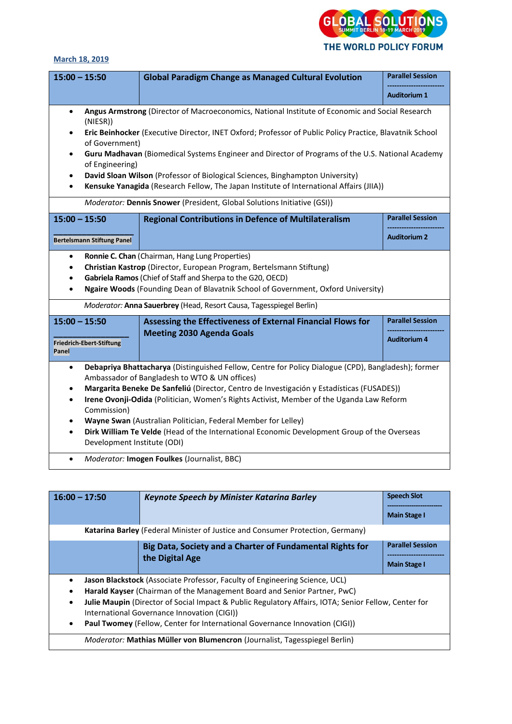

### **March 18, 2019**

| $15:00 - 15:50$                                                                                                                                                                                                                                                                                                                                                                                     | <b>Global Paradigm Change as Managed Cultural Evolution</b>                                                                                                              | <b>Parallel Session</b>                        |  |
|-----------------------------------------------------------------------------------------------------------------------------------------------------------------------------------------------------------------------------------------------------------------------------------------------------------------------------------------------------------------------------------------------------|--------------------------------------------------------------------------------------------------------------------------------------------------------------------------|------------------------------------------------|--|
|                                                                                                                                                                                                                                                                                                                                                                                                     |                                                                                                                                                                          | <b>Auditorium 1</b>                            |  |
| $\bullet$<br>(NIESR))                                                                                                                                                                                                                                                                                                                                                                               | Angus Armstrong (Director of Macroeconomics, National Institute of Economic and Social Research                                                                          |                                                |  |
| $\bullet$                                                                                                                                                                                                                                                                                                                                                                                           | Eric Beinhocker (Executive Director, INET Oxford; Professor of Public Policy Practice, Blavatnik School<br>of Government)                                                |                                                |  |
| $\bullet$<br>of Engineering)                                                                                                                                                                                                                                                                                                                                                                        | Guru Madhavan (Biomedical Systems Engineer and Director of Programs of the U.S. National Academy                                                                         |                                                |  |
| $\bullet$<br>$\bullet$                                                                                                                                                                                                                                                                                                                                                                              | David Sloan Wilson (Professor of Biological Sciences, Binghampton University)<br>Kensuke Yanagida (Research Fellow, The Japan Institute of International Affairs (JIIA)) |                                                |  |
|                                                                                                                                                                                                                                                                                                                                                                                                     | Moderator: Dennis Snower (President, Global Solutions Initiative (GSI))                                                                                                  |                                                |  |
| $15:00 - 15:50$                                                                                                                                                                                                                                                                                                                                                                                     | <b>Regional Contributions in Defence of Multilateralism</b>                                                                                                              | <b>Parallel Session</b>                        |  |
| <b>Bertelsmann Stiftung Panel</b>                                                                                                                                                                                                                                                                                                                                                                   |                                                                                                                                                                          | <b>Auditorium 2</b>                            |  |
| Ronnie C. Chan (Chairman, Hang Lung Properties)<br>٠<br>Christian Kastrop (Director, European Program, Bertelsmann Stiftung)<br>$\bullet$<br>Gabriela Ramos (Chief of Staff and Sherpa to the G20, OECD)<br>$\bullet$<br>Ngaire Woods (Founding Dean of Blavatnik School of Government, Oxford University)<br>$\bullet$                                                                             |                                                                                                                                                                          |                                                |  |
|                                                                                                                                                                                                                                                                                                                                                                                                     | Moderator: Anna Sauerbrey (Head, Resort Causa, Tagesspiegel Berlin)                                                                                                      |                                                |  |
| $15:00 - 15:50$<br>Friedrich-Ebert-Stiftung                                                                                                                                                                                                                                                                                                                                                         | Assessing the Effectiveness of External Financial Flows for<br><b>Meeting 2030 Agenda Goals</b>                                                                          | <b>Parallel Session</b><br><b>Auditorium 4</b> |  |
| Panel                                                                                                                                                                                                                                                                                                                                                                                               |                                                                                                                                                                          |                                                |  |
| Debapriya Bhattacharya (Distinguished Fellow, Centre for Policy Dialogue (CPD), Bangladesh); former<br>$\bullet$<br>Ambassador of Bangladesh to WTO & UN offices)<br>Margarita Beneke De Sanfeliú (Director, Centro de Investigación y Estadísticas (FUSADES))<br>$\bullet$<br>Irene Ovonji-Odida (Politician, Women's Rights Activist, Member of the Uganda Law Reform<br>$\bullet$<br>Commission) |                                                                                                                                                                          |                                                |  |
| $\bullet$<br>Development Institute (ODI)                                                                                                                                                                                                                                                                                                                                                            | Wayne Swan (Australian Politician, Federal Member for Lelley)<br>Dirk William Te Velde (Head of the International Economic Development Group of the Overseas             |                                                |  |

• *Moderator:* **Imogen Foulkes** (Journalist, BBC)

| $16:00 - 17:50$                                                            | Keynote Speech by Minister Katarina Barley                                                           | <b>Speech Slot</b>      |  |
|----------------------------------------------------------------------------|------------------------------------------------------------------------------------------------------|-------------------------|--|
|                                                                            |                                                                                                      | <b>Main Stage I</b>     |  |
|                                                                            | Katarina Barley (Federal Minister of Justice and Consumer Protection, Germany)                       |                         |  |
|                                                                            | Big Data, Society and a Charter of Fundamental Rights for                                            | <b>Parallel Session</b> |  |
|                                                                            | the Digital Age                                                                                      | <b>Main Stage I</b>     |  |
|                                                                            |                                                                                                      |                         |  |
|                                                                            | Jason Blackstock (Associate Professor, Faculty of Engineering Science, UCL)                          |                         |  |
| Harald Kayser (Chairman of the Management Board and Senior Partner, PwC)   |                                                                                                      |                         |  |
| $\bullet$                                                                  | Julie Maupin (Director of Social Impact & Public Regulatory Affairs, IOTA; Senior Fellow, Center for |                         |  |
|                                                                            | International Governance Innovation (CIGI))                                                          |                         |  |
| ٠                                                                          | <b>Paul Twomey</b> (Fellow, Center for International Governance Innovation (CIGI))                   |                         |  |
| Moderator: Mathias Müller von Blumencron (Journalist, Tagesspiegel Berlin) |                                                                                                      |                         |  |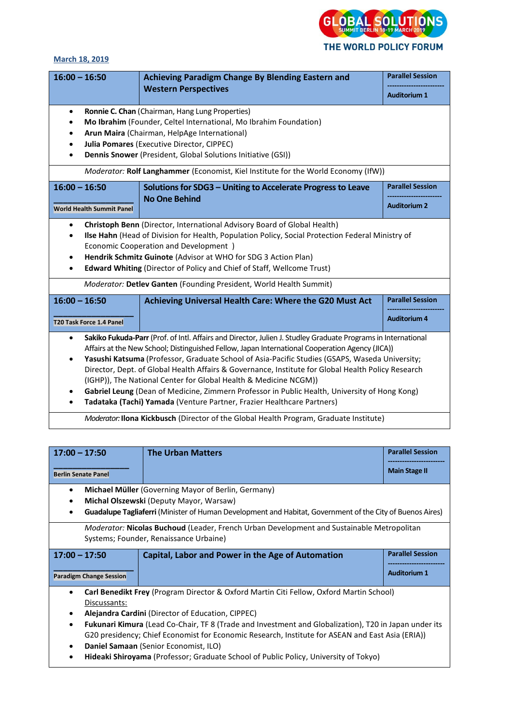

| Achieving Paradigm Change By Blending Eastern and                                                                                                                                                                                                                                                                                                                                                             | <b>Parallel Session</b>                                                                                                                                                          |  |
|---------------------------------------------------------------------------------------------------------------------------------------------------------------------------------------------------------------------------------------------------------------------------------------------------------------------------------------------------------------------------------------------------------------|----------------------------------------------------------------------------------------------------------------------------------------------------------------------------------|--|
| <b>Western Perspectives</b>                                                                                                                                                                                                                                                                                                                                                                                   | <b>Auditorium 1</b>                                                                                                                                                              |  |
| Ronnie C. Chan (Chairman, Hang Lung Properties)<br>Mo Ibrahim (Founder, Celtel International, Mo Ibrahim Foundation)<br>Arun Maira (Chairman, HelpAge International)<br>Julia Pomares (Executive Director, CIPPEC)<br>Dennis Snower (President, Global Solutions Initiative (GSI))                                                                                                                            |                                                                                                                                                                                  |  |
|                                                                                                                                                                                                                                                                                                                                                                                                               |                                                                                                                                                                                  |  |
| Solutions for SDG3 - Uniting to Accelerate Progress to Leave                                                                                                                                                                                                                                                                                                                                                  | <b>Parallel Session</b>                                                                                                                                                          |  |
|                                                                                                                                                                                                                                                                                                                                                                                                               | <b>Auditorium 2</b>                                                                                                                                                              |  |
| Christoph Benn (Director, International Advisory Board of Global Health)<br>$\bullet$<br>Ilse Hahn (Head of Division for Health, Population Policy, Social Protection Federal Ministry of<br>$\bullet$<br>Economic Cooperation and Development )<br>Hendrik Schmitz Guinote (Advisor at WHO for SDG 3 Action Plan)<br>٠<br><b>Edward Whiting (Director of Policy and Chief of Staff, Wellcome Trust)</b><br>٠ |                                                                                                                                                                                  |  |
|                                                                                                                                                                                                                                                                                                                                                                                                               |                                                                                                                                                                                  |  |
| Achieving Universal Health Care: Where the G20 Must Act                                                                                                                                                                                                                                                                                                                                                       |                                                                                                                                                                                  |  |
|                                                                                                                                                                                                                                                                                                                                                                                                               | <b>Parallel Session</b><br><b>Auditorium 4</b>                                                                                                                                   |  |
|                                                                                                                                                                                                                                                                                                                                                                                                               | Moderator: Rolf Langhammer (Economist, Kiel Institute for the World Economy (IfW))<br><b>No One Behind</b><br>Moderator: Detlev Ganten (Founding President, World Health Summit) |  |

| $17:00 - 17:50$                                                                                                    | <b>The Urban Matters</b>                                                                                                                   | <b>Parallel Session</b> |
|--------------------------------------------------------------------------------------------------------------------|--------------------------------------------------------------------------------------------------------------------------------------------|-------------------------|
| <b>Berlin Senate Panel</b>                                                                                         |                                                                                                                                            | <b>Main Stage II</b>    |
| ٠                                                                                                                  | Michael Müller (Governing Mayor of Berlin, Germany)                                                                                        |                         |
| $\bullet$                                                                                                          | Michal Olszewski (Deputy Mayor, Warsaw)                                                                                                    |                         |
| $\bullet$                                                                                                          | Guadalupe Tagliaferri (Minister of Human Development and Habitat, Government of the City of Buenos Aires)                                  |                         |
|                                                                                                                    | <i>Moderator:</i> Nicolas Buchoud (Leader, French Urban Development and Sustainable Metropolitan<br>Systems; Founder, Renaissance Urbaine) |                         |
| $17:00 - 17:50$                                                                                                    | Capital, Labor and Power in the Age of Automation                                                                                          | <b>Parallel Session</b> |
| <b>Paradigm Change Session</b>                                                                                     |                                                                                                                                            | <b>Auditorium 1</b>     |
| $\bullet$                                                                                                          | Carl Benedikt Frey (Program Director & Oxford Martin Citi Fellow, Oxford Martin School)                                                    |                         |
| Discussants:                                                                                                       |                                                                                                                                            |                         |
| $\bullet$                                                                                                          | Alejandra Cardini (Director of Education, CIPPEC)                                                                                          |                         |
| Fukunari Kimura (Lead Co-Chair, TF 8 (Trade and Investment and Globalization), T20 in Japan under its<br>$\bullet$ |                                                                                                                                            |                         |
| G20 presidency; Chief Economist for Economic Research, Institute for ASEAN and East Asia (ERIA))                   |                                                                                                                                            |                         |
| Daniel Samaan (Senior Economist, ILO)<br>٠                                                                         |                                                                                                                                            |                         |
| Hideaki Shiroyama (Professor; Graduate School of Public Policy, University of Tokyo)<br>٠                          |                                                                                                                                            |                         |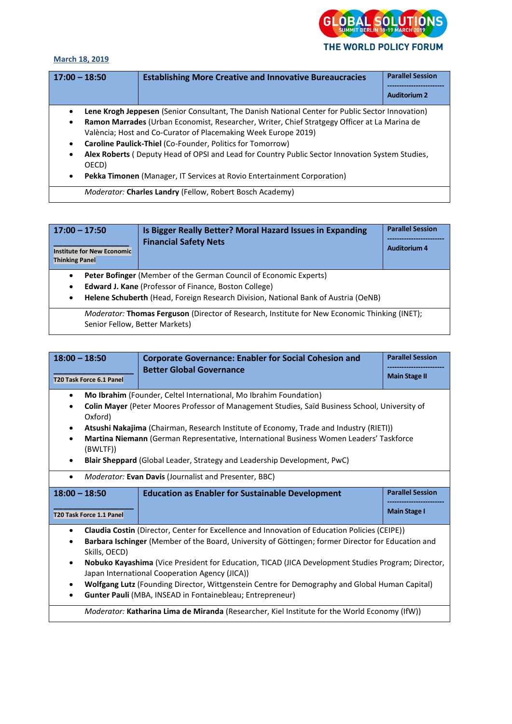

### **March 18, 2019**

| $17:00 - 18:50$                                        | <b>Establishing More Creative and Innovative Bureaucracies</b>                                                                                                                                                                                                                                                                                                                                                                                                                                                        | <b>Parallel Session</b><br><b>Auditorium 2</b> |
|--------------------------------------------------------|-----------------------------------------------------------------------------------------------------------------------------------------------------------------------------------------------------------------------------------------------------------------------------------------------------------------------------------------------------------------------------------------------------------------------------------------------------------------------------------------------------------------------|------------------------------------------------|
| $\bullet$<br>٠<br>٠<br>$\bullet$<br>OECD)<br>$\bullet$ | Lene Krogh Jeppesen (Senior Consultant, The Danish National Center for Public Sector Innovation)<br>Ramon Marrades (Urban Economist, Researcher, Writer, Chief Stratgegy Officer at La Marina de<br>València; Host and Co-Curator of Placemaking Week Europe 2019)<br><b>Caroline Paulick-Thiel (Co-Founder, Politics for Tomorrow)</b><br>Alex Roberts (Deputy Head of OPSI and Lead for Country Public Sector Innovation System Studies,<br>Pekka Timonen (Manager, IT Services at Rovio Entertainment Corporation) |                                                |

*Moderator:* **Charles Landry** (Fellow, Robert Bosch Academy)

| $17:00 - 17:50$<br><b>Institute for New Economic</b><br><b>Thinking Panel</b>                                                                                                                                                          | Is Bigger Really Better? Moral Hazard Issues in Expanding<br><b>Financial Safety Nets</b>                                              | <b>Parallel Session</b><br><b>Auditorium 4</b> |
|----------------------------------------------------------------------------------------------------------------------------------------------------------------------------------------------------------------------------------------|----------------------------------------------------------------------------------------------------------------------------------------|------------------------------------------------|
| <b>Peter Bofinger (Member of the German Council of Economic Experts)</b><br>٠<br>Edward J. Kane (Professor of Finance, Boston College)<br>٠<br>Helene Schuberth (Head, Foreign Research Division, National Bank of Austria (OeNB)<br>٠ |                                                                                                                                        |                                                |
|                                                                                                                                                                                                                                        | <i>Moderator:</i> Thomas Ferguson (Director of Research, Institute for New Economic Thinking (INET);<br>Senior Fellow, Better Markets) |                                                |

| $18:00 - 18:50$ |                                                                                                           | <b>Corporate Governance: Enabler for Social Cohesion and</b>                                                                                                       | <b>Parallel Session</b> |
|-----------------|-----------------------------------------------------------------------------------------------------------|--------------------------------------------------------------------------------------------------------------------------------------------------------------------|-------------------------|
|                 | <b>T20 Task Force 6.1 Panel</b>                                                                           | <b>Better Global Governance</b>                                                                                                                                    | <b>Main Stage II</b>    |
| $\bullet$       |                                                                                                           | <b>Mo Ibrahim</b> (Founder, Celtel International, Mo Ibrahim Foundation)                                                                                           |                         |
| $\bullet$       | Colin Mayer (Peter Moores Professor of Management Studies, Saïd Business School, University of<br>Oxford) |                                                                                                                                                                    |                         |
| $\bullet$       |                                                                                                           | Atsushi Nakajima (Chairman, Research Institute of Economy, Trade and Industry (RIETI))                                                                             |                         |
| $\bullet$       | (BWLTF))                                                                                                  | Martina Niemann (German Representative, International Business Women Leaders' Taskforce                                                                            |                         |
| $\bullet$       |                                                                                                           | Blair Sheppard (Global Leader, Strategy and Leadership Development, PwC)                                                                                           |                         |
| $\bullet$       |                                                                                                           | Moderator: Evan Davis (Journalist and Presenter, BBC)                                                                                                              |                         |
| $18:00 - 18:50$ |                                                                                                           | <b>Education as Enabler for Sustainable Development</b>                                                                                                            | <b>Parallel Session</b> |
|                 |                                                                                                           |                                                                                                                                                                    | <b>Main Stage I</b>     |
|                 | T20 Task Force 1.1 Panel                                                                                  |                                                                                                                                                                    |                         |
| $\bullet$       |                                                                                                           | Claudia Costin (Director, Center for Excellence and Innovation of Education Policies (CEIPE))                                                                      |                         |
|                 | Barbara Ischinger (Member of the Board, University of Göttingen; former Director for Education and        |                                                                                                                                                                    |                         |
|                 | Skills, OECD)                                                                                             |                                                                                                                                                                    |                         |
| $\bullet$       |                                                                                                           | Nobuko Kayashima (Vice President for Education, TICAD (JICA Development Studies Program; Director,                                                                 |                         |
| $\bullet$       |                                                                                                           | Japan International Cooperation Agency (JICA))                                                                                                                     |                         |
| $\bullet$       |                                                                                                           | <b>Wolfgang Lutz</b> (Founding Director, Wittgenstein Centre for Demography and Global Human Capital)<br>Gunter Pauli (MBA, INSEAD in Fontainebleau; Entrepreneur) |                         |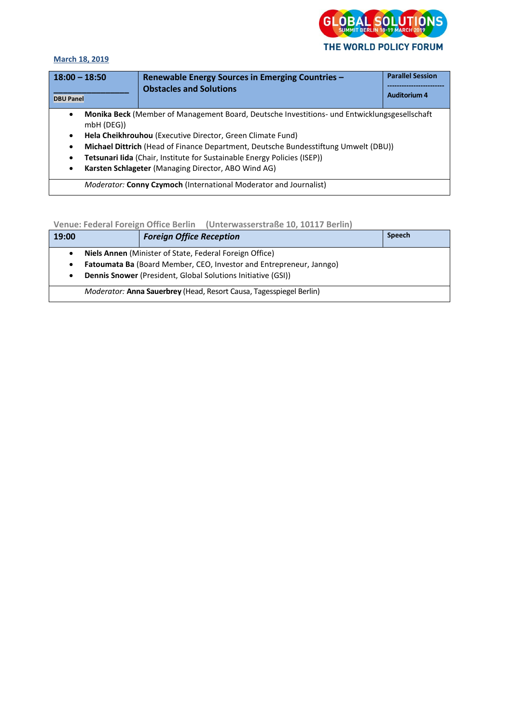

### **March 18, 2019**

| $18:00 - 18:50$<br><b>DBU Panel</b> | Renewable Energy Sources in Emerging Countries -<br><b>Obstacles and Solutions</b>                                                                                                                                                                | <b>Parallel Session</b><br><b>Auditorium 4</b> |
|-------------------------------------|---------------------------------------------------------------------------------------------------------------------------------------------------------------------------------------------------------------------------------------------------|------------------------------------------------|
| $\bullet$<br>mbH (DEG)<br>$\bullet$ | Monika Beck (Member of Management Board, Deutsche Investitions- und Entwicklungsgesellschaft<br>Hela Cheikhrouhou (Executive Director, Green Climate Fund)<br>Michael Dittrich (Head of Finance Department, Deutsche Bundesstiftung Umwelt (DBU)) |                                                |
| $\bullet$                           | <b>Tetsunari lida</b> (Chair, Institute for Sustainable Energy Policies (ISEP))<br>Karsten Schlageter (Managing Director, ABO Wind AG)<br><b>Moderator: Conny Czymoch (International Moderator and Journalist)</b>                                |                                                |

**Venue: Federal Foreign Office Berlin (Unterwasserstraße 10, 10117 Berlin)**

| 19:00 |                                                                     | <b>Foreign Office Reception</b>                                            | <b>Speech</b> |
|-------|---------------------------------------------------------------------|----------------------------------------------------------------------------|---------------|
| ٠     |                                                                     | Niels Annen (Minister of State, Federal Foreign Office)                    |               |
| ٠     | Fatoumata Ba (Board Member, CEO, Investor and Entrepreneur, Janngo) |                                                                            |               |
| ٠     | Dennis Snower (President, Global Solutions Initiative (GSI))        |                                                                            |               |
|       |                                                                     | <i>Moderator:</i> Anna Sauerbrey (Head, Resort Causa, Tagesspiegel Berlin) |               |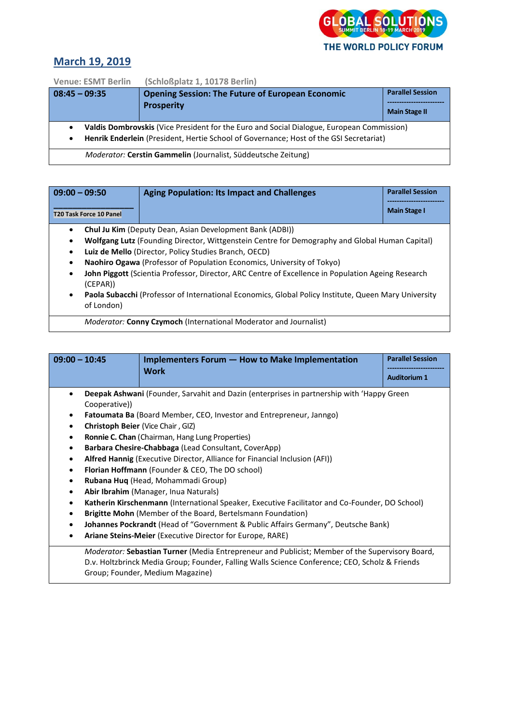

**Venue: ESMT Berlin (Schloßplatz 1, 10178 Berlin)**

Group; Founder, Medium Magazine)

| $08:45 - 09:35$                                                                                                                                                                          | <b>Opening Session: The Future of European Economic</b><br><b>Prosperity</b> | <b>Parallel Session</b><br><b>Main Stage II</b> |
|------------------------------------------------------------------------------------------------------------------------------------------------------------------------------------------|------------------------------------------------------------------------------|-------------------------------------------------|
| Valdis Dombrovskis (Vice President for the Euro and Social Dialogue, European Commission)<br>Henrik Enderlein (President, Hertie School of Governance; Host of the GSI Secretariat)<br>٠ |                                                                              |                                                 |
|                                                                                                                                                                                          | Moderator: Cerstin Gammelin (Journalist, Süddeutsche Zeitung)                |                                                 |

| $09:00 - 09:50$                | <b>Aging Population: Its Impact and Challenges</b>                                                    | <b>Parallel Session</b> |  |
|--------------------------------|-------------------------------------------------------------------------------------------------------|-------------------------|--|
| <b>T20 Task Force 10 Panel</b> |                                                                                                       | <b>Main Stage I</b>     |  |
| $\bullet$                      | <b>Chul Ju Kim</b> (Deputy Dean, Asian Development Bank (ADBI))                                       |                         |  |
| ٠                              | <b>Wolfgang Lutz</b> (Founding Director, Wittgenstein Centre for Demography and Global Human Capital) |                         |  |
| ٠                              | Luiz de Mello (Director, Policy Studies Branch, OECD)                                                 |                         |  |
| ٠                              | Naohiro Ogawa (Professor of Population Economics, University of Tokyo)                                |                         |  |
| ٠<br>(CEPAR)                   | John Piggott (Scientia Professor, Director, ARC Centre of Excellence in Population Ageing Research    |                         |  |
| ٠<br>of London)                | Paola Subacchi (Professor of International Economics, Global Policy Institute, Queen Mary University  |                         |  |
|                                | Moderator: Conny Czymoch (International Moderator and Journalist)                                     |                         |  |

| $09:00 - 10:45$                   | Implementers Forum - How to Make Implementation                                                                                                                                                          | <b>Parallel Session</b> |
|-----------------------------------|----------------------------------------------------------------------------------------------------------------------------------------------------------------------------------------------------------|-------------------------|
|                                   | <b>Work</b>                                                                                                                                                                                              | <b>Auditorium 1</b>     |
| $\bullet$<br>Cooperative))        | Deepak Ashwani (Founder, Sarvahit and Dazin (enterprises in partnership with 'Happy Green                                                                                                                |                         |
| ٠                                 | <b>Fatoumata Ba</b> (Board Member, CEO, Investor and Entrepreneur, Janngo)                                                                                                                               |                         |
| Christoph Beier (Vice Chair, GIZ) |                                                                                                                                                                                                          |                         |
| ٠                                 | <b>Ronnie C. Chan</b> (Chairman, Hang Lung Properties)                                                                                                                                                   |                         |
| $\bullet$                         | Barbara Chesire-Chabbaga (Lead Consultant, CoverApp)                                                                                                                                                     |                         |
| $\bullet$                         | Alfred Hannig (Executive Director, Alliance for Financial Inclusion (AFI))                                                                                                                               |                         |
| $\bullet$                         | Florian Hoffmann (Founder & CEO, The DO school)                                                                                                                                                          |                         |
| ٠                                 | Rubana Huq (Head, Mohammadi Group)                                                                                                                                                                       |                         |
| $\bullet$                         | Abir Ibrahim (Manager, Inua Naturals)                                                                                                                                                                    |                         |
| $\bullet$                         | Katherin Kirschenmann (International Speaker, Executive Facilitator and Co-Founder, DO School)                                                                                                           |                         |
| ٠                                 | Brigitte Mohn (Member of the Board, Bertelsmann Foundation)                                                                                                                                              |                         |
| ٠                                 | Johannes Pockrandt (Head of "Government & Public Affairs Germany", Deutsche Bank)                                                                                                                        |                         |
| ٠                                 | Ariane Steins-Meier (Executive Director for Europe, RARE)                                                                                                                                                |                         |
|                                   | <i>Moderator: Sebastian Turner</i> (Media Entrepreneur and Publicist; Member of the Supervisory Board,<br>D.v. Holtzbrinck Media Group; Founder, Falling Walls Science Conference; CEO, Scholz & Friends |                         |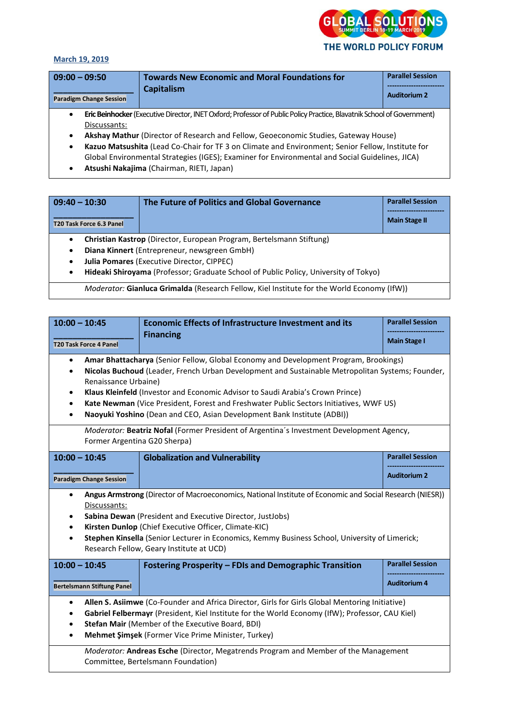

| $09:00 - 09:50$<br><b>Paradigm Change Session</b>                                                                                                                                                                                                                                                                                                                                                                                                          | <b>Towards New Economic and Moral Foundations for</b><br><b>Capitalism</b> | <b>Parallel Session</b><br><b>Auditorium 2</b> |
|------------------------------------------------------------------------------------------------------------------------------------------------------------------------------------------------------------------------------------------------------------------------------------------------------------------------------------------------------------------------------------------------------------------------------------------------------------|----------------------------------------------------------------------------|------------------------------------------------|
|                                                                                                                                                                                                                                                                                                                                                                                                                                                            |                                                                            |                                                |
| Discussants:                                                                                                                                                                                                                                                                                                                                                                                                                                               |                                                                            |                                                |
| $\bullet$                                                                                                                                                                                                                                                                                                                                                                                                                                                  |                                                                            |                                                |
| Eric Beinhocker (Executive Director, INET Oxford; Professor of Public Policy Practice, Blavatnik School of Government)<br>Akshay Mathur (Director of Research and Fellow, Geoeconomic Studies, Gateway House)<br>$\mathbf{u}$ as the $\mathbf{u}$ and $\mathbf{v}$ are a set of the set of the set of the set of the set of the set of the set of the set of the set of the set of the set of the set of the set of the set of the set of the set of the s |                                                                            |                                                |

- **Kazuo Matsushita** (Lead Co-Chair for TF 3 on Climate and Environment; Senior Fellow, Institute for Global Environmental Strategies (IGES); Examiner for Environmental and Social Guidelines, JICA)
- **Atsushi Nakajima** (Chairman, RIETI, Japan)

| $09:40 - 10:30$<br><b>T20 Task Force 6.3 Panel</b>                                                                                                                                                                                                                                           | The Future of Politics and Global Governance | <b>Parallel Session</b><br><b>Main Stage II</b> |
|----------------------------------------------------------------------------------------------------------------------------------------------------------------------------------------------------------------------------------------------------------------------------------------------|----------------------------------------------|-------------------------------------------------|
| <b>Christian Kastrop</b> (Director, European Program, Bertelsmann Stiftung)<br>٠<br>Diana Kinnert (Entrepreneur, newsgreen GmbH)<br>٠<br><b>Julia Pomares (Executive Director, CIPPEC)</b><br>٠<br>Hideaki Shiroyama (Professor; Graduate School of Public Policy, University of Tokyo)<br>٠ |                                              |                                                 |
| <i>Moderator:</i> Gianluca Grimalda (Research Fellow, Kiel Institute for the World Economy (IfW))                                                                                                                                                                                            |                                              |                                                 |

|                                                                                                                                                                                                                                                                                                                                                                                                                                           | $10:00 - 10:45$                                                                                                                                                                                                                                                                                                                                                                                                                                                         | <b>Economic Effects of Infrastructure Investment and its</b>                                                                                                                                                                                                                                                                                                                 | <b>Parallel Session</b> |
|-------------------------------------------------------------------------------------------------------------------------------------------------------------------------------------------------------------------------------------------------------------------------------------------------------------------------------------------------------------------------------------------------------------------------------------------|-------------------------------------------------------------------------------------------------------------------------------------------------------------------------------------------------------------------------------------------------------------------------------------------------------------------------------------------------------------------------------------------------------------------------------------------------------------------------|------------------------------------------------------------------------------------------------------------------------------------------------------------------------------------------------------------------------------------------------------------------------------------------------------------------------------------------------------------------------------|-------------------------|
|                                                                                                                                                                                                                                                                                                                                                                                                                                           | <b>T20 Task Force 4 Panel</b>                                                                                                                                                                                                                                                                                                                                                                                                                                           | <b>Financing</b>                                                                                                                                                                                                                                                                                                                                                             | <b>Main Stage I</b>     |
| $\bullet$<br>$\bullet$                                                                                                                                                                                                                                                                                                                                                                                                                    | Amar Bhattacharya (Senior Fellow, Global Economy and Development Program, Brookings)<br>Nicolas Buchoud (Leader, French Urban Development and Sustainable Metropolitan Systems; Founder,<br>Renaissance Urbaine)<br>Klaus Kleinfeld (Investor and Economic Advisor to Saudi Arabia's Crown Prince)<br>Kate Newman (Vice President, Forest and Freshwater Public Sectors Initiatives, WWF US)<br>Naoyuki Yoshino (Dean and CEO, Asian Development Bank Institute (ADBI)) |                                                                                                                                                                                                                                                                                                                                                                              |                         |
|                                                                                                                                                                                                                                                                                                                                                                                                                                           | Former Argentina G20 Sherpa)                                                                                                                                                                                                                                                                                                                                                                                                                                            | Moderator: Beatriz Nofal (Former President of Argentina's Investment Development Agency,                                                                                                                                                                                                                                                                                     |                         |
|                                                                                                                                                                                                                                                                                                                                                                                                                                           | $10:00 - 10:45$                                                                                                                                                                                                                                                                                                                                                                                                                                                         | <b>Globalization and Vulnerability</b>                                                                                                                                                                                                                                                                                                                                       | <b>Parallel Session</b> |
|                                                                                                                                                                                                                                                                                                                                                                                                                                           | <b>Paradigm Change Session</b>                                                                                                                                                                                                                                                                                                                                                                                                                                          |                                                                                                                                                                                                                                                                                                                                                                              | <b>Auditorium 2</b>     |
| $\bullet$<br>$\bullet$<br>$\bullet$                                                                                                                                                                                                                                                                                                                                                                                                       | Discussants:                                                                                                                                                                                                                                                                                                                                                                                                                                                            | Angus Armstrong (Director of Macroeconomics, National Institute of Economic and Social Research (NIESR))<br>Sabina Dewan (President and Executive Director, JustJobs)<br>Kirsten Dunlop (Chief Executive Officer, Climate-KIC)<br>Stephen Kinsella (Senior Lecturer in Economics, Kemmy Business School, University of Limerick;<br>Research Fellow, Geary Institute at UCD) |                         |
| $10:00 - 10:45$                                                                                                                                                                                                                                                                                                                                                                                                                           |                                                                                                                                                                                                                                                                                                                                                                                                                                                                         | <b>Fostering Prosperity - FDIs and Demographic Transition</b>                                                                                                                                                                                                                                                                                                                | <b>Parallel Session</b> |
|                                                                                                                                                                                                                                                                                                                                                                                                                                           | <b>Bertelsmann Stiftung Panel</b>                                                                                                                                                                                                                                                                                                                                                                                                                                       |                                                                                                                                                                                                                                                                                                                                                                              | <b>Auditorium 4</b>     |
| Allen S. Asiimwe (Co-Founder and Africa Director, Girls for Girls Global Mentoring Initiative)<br>$\bullet$<br>Gabriel Felbermayr (President, Kiel Institute for the World Economy (IfW); Professor, CAU Kiel)<br>Stefan Mair (Member of the Executive Board, BDI)<br>$\bullet$<br>Mehmet Şimşek (Former Vice Prime Minister, Turkey)<br>$\bullet$<br>Moderator: Andreas Esche (Director, Megatrends Program and Member of the Management |                                                                                                                                                                                                                                                                                                                                                                                                                                                                         |                                                                                                                                                                                                                                                                                                                                                                              |                         |
|                                                                                                                                                                                                                                                                                                                                                                                                                                           | Committee, Bertelsmann Foundation)                                                                                                                                                                                                                                                                                                                                                                                                                                      |                                                                                                                                                                                                                                                                                                                                                                              |                         |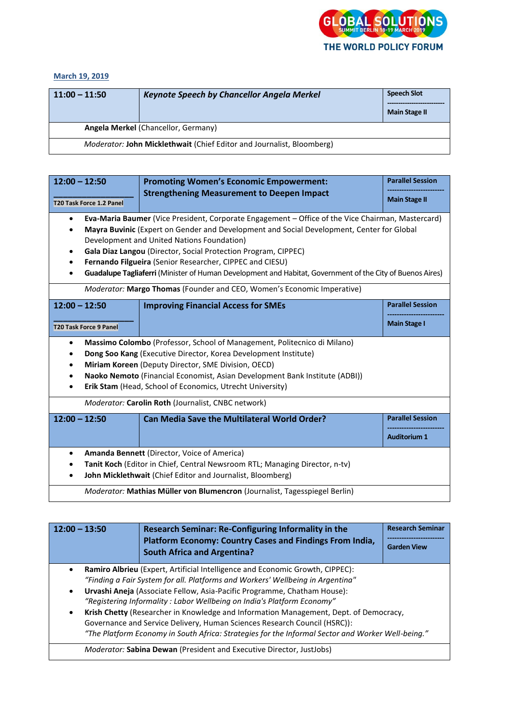

| $11:00 - 11:50$                                                       | <b>Keynote Speech by Chancellor Angela Merkel</b> | <b>Speech Slot</b><br><b>Main Stage II</b> |  |  |
|-----------------------------------------------------------------------|---------------------------------------------------|--------------------------------------------|--|--|
| Angela Merkel (Chancellor, Germany)                                   |                                                   |                                            |  |  |
| Moderator: John Micklethwait (Chief Editor and Journalist, Bloomberg) |                                                   |                                            |  |  |

| $12:00 - 12:50$                                                                                                                                                                                                                                                                                                                                                                                                                                                                                      | T20 Task Force 1.2 Panel      | <b>Promoting Women's Economic Empowerment:</b><br><b>Strengthening Measurement to Deepen Impact</b>                                                                                                                                                                                                                                                   | <b>Parallel Session</b><br><b>Main Stage II</b> |
|------------------------------------------------------------------------------------------------------------------------------------------------------------------------------------------------------------------------------------------------------------------------------------------------------------------------------------------------------------------------------------------------------------------------------------------------------------------------------------------------------|-------------------------------|-------------------------------------------------------------------------------------------------------------------------------------------------------------------------------------------------------------------------------------------------------------------------------------------------------------------------------------------------------|-------------------------------------------------|
| Eva-Maria Baumer (Vice President, Corporate Engagement - Office of the Vice Chairman, Mastercard)<br>$\bullet$<br>Mayra Buvinic (Expert on Gender and Development and Social Development, Center for Global<br>Development and United Nations Foundation)<br>Gala Diaz Langou (Director, Social Protection Program, CIPPEC)<br>Fernando Filgueira (Senior Researcher, CIPPEC and CIESU)<br>Guadalupe Tagliaferri (Minister of Human Development and Habitat, Government of the City of Buenos Aires) |                               |                                                                                                                                                                                                                                                                                                                                                       |                                                 |
|                                                                                                                                                                                                                                                                                                                                                                                                                                                                                                      |                               | Moderator: Margo Thomas (Founder and CEO, Women's Economic Imperative)                                                                                                                                                                                                                                                                                |                                                 |
| $12:00 - 12:50$                                                                                                                                                                                                                                                                                                                                                                                                                                                                                      |                               | <b>Improving Financial Access for SMEs</b>                                                                                                                                                                                                                                                                                                            | <b>Parallel Session</b>                         |
|                                                                                                                                                                                                                                                                                                                                                                                                                                                                                                      | <b>T20 Task Force 9 Panel</b> |                                                                                                                                                                                                                                                                                                                                                       | <b>Main Stage I</b>                             |
| $\bullet$                                                                                                                                                                                                                                                                                                                                                                                                                                                                                            |                               | <b>Massimo Colombo</b> (Professor, School of Management, Politecnico di Milano)<br>Dong Soo Kang (Executive Director, Korea Development Institute)<br>Miriam Koreen (Deputy Director, SME Division, OECD)<br>Naoko Nemoto (Financial Economist, Asian Development Bank Institute (ADBI))<br>Erik Stam (Head, School of Economics, Utrecht University) |                                                 |
|                                                                                                                                                                                                                                                                                                                                                                                                                                                                                                      |                               | Moderator: Carolin Roth (Journalist, CNBC network)                                                                                                                                                                                                                                                                                                    |                                                 |
| $12:00 - 12:50$                                                                                                                                                                                                                                                                                                                                                                                                                                                                                      |                               | <b>Can Media Save the Multilateral World Order?</b>                                                                                                                                                                                                                                                                                                   | <b>Parallel Session</b><br><b>Auditorium 1</b>  |
| $\bullet$                                                                                                                                                                                                                                                                                                                                                                                                                                                                                            |                               | Amanda Bennett (Director, Voice of America)<br>Tanit Koch (Editor in Chief, Central Newsroom RTL; Managing Director, n-tv)<br>John Micklethwait (Chief Editor and Journalist, Bloomberg)                                                                                                                                                              |                                                 |
|                                                                                                                                                                                                                                                                                                                                                                                                                                                                                                      |                               | Moderator: Mathias Müller von Blumencron (Journalist, Tagesspiegel Berlin)                                                                                                                                                                                                                                                                            |                                                 |

| $12:00 - 13:50$                     | <b>Research Seminar: Re-Configuring Informality in the</b><br><b>Platform Economy: Country Cases and Findings From India,</b><br><b>South Africa and Argentina?</b>                                                                                                                                                                                                                                                                                                                                                                                                                              | <b>Research Seminar</b><br><b>Garden View</b> |
|-------------------------------------|--------------------------------------------------------------------------------------------------------------------------------------------------------------------------------------------------------------------------------------------------------------------------------------------------------------------------------------------------------------------------------------------------------------------------------------------------------------------------------------------------------------------------------------------------------------------------------------------------|-----------------------------------------------|
| $\bullet$<br>$\bullet$<br>$\bullet$ | Ramiro Albrieu (Expert, Artificial Intelligence and Economic Growth, CIPPEC):<br>"Finding a Fair System for all. Platforms and Workers' Wellbeing in Argentina"<br>Urvashi Aneja (Associate Fellow, Asia-Pacific Programme, Chatham House):<br>"Registering Informality: Labor Wellbeing on India's Platform Economy"<br>Krish Chetty (Researcher in Knowledge and Information Management, Dept. of Democracy,<br>Governance and Service Delivery, Human Sciences Research Council (HSRC)):<br>"The Platform Economy in South Africa: Strategies for the Informal Sector and Worker Well-being." |                                               |
|                                     | <b>Moderator: Sabina Dewan</b> (President and Executive Director, JustJobs)                                                                                                                                                                                                                                                                                                                                                                                                                                                                                                                      |                                               |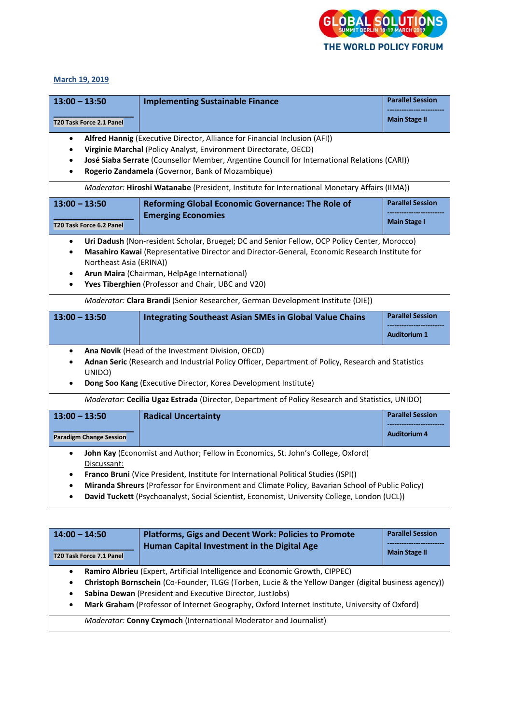

| $13:00 - 13:50$                                                                                                                                                                                                                                                |                                 | <b>Implementing Sustainable Finance</b>                                                                                                                                                                                                                                                                                                                                     | <b>Parallel Session</b>                        |
|----------------------------------------------------------------------------------------------------------------------------------------------------------------------------------------------------------------------------------------------------------------|---------------------------------|-----------------------------------------------------------------------------------------------------------------------------------------------------------------------------------------------------------------------------------------------------------------------------------------------------------------------------------------------------------------------------|------------------------------------------------|
|                                                                                                                                                                                                                                                                | <b>T20 Task Force 2.1 Panel</b> |                                                                                                                                                                                                                                                                                                                                                                             | <b>Main Stage II</b>                           |
| $\bullet$<br>$\bullet$<br>$\bullet$<br>$\bullet$                                                                                                                                                                                                               |                                 | Alfred Hannig (Executive Director, Alliance for Financial Inclusion (AFI))<br>Virginie Marchal (Policy Analyst, Environment Directorate, OECD)<br>José Siaba Serrate (Counsellor Member, Argentine Council for International Relations (CARI))<br>Rogerio Zandamela (Governor, Bank of Mozambique)                                                                          |                                                |
|                                                                                                                                                                                                                                                                |                                 | Moderator: Hiroshi Watanabe (President, Institute for International Monetary Affairs (IIMA))                                                                                                                                                                                                                                                                                |                                                |
| $13:00 - 13:50$                                                                                                                                                                                                                                                |                                 | <b>Reforming Global Economic Governance: The Role of</b>                                                                                                                                                                                                                                                                                                                    | <b>Parallel Session</b>                        |
|                                                                                                                                                                                                                                                                | T20 Task Force 6.2 Panel        | <b>Emerging Economies</b>                                                                                                                                                                                                                                                                                                                                                   | <b>Main Stage I</b>                            |
| $\bullet$<br>$\bullet$<br>٠<br>$\bullet$                                                                                                                                                                                                                       | Northeast Asia (ERINA))         | Uri Dadush (Non-resident Scholar, Bruegel; DC and Senior Fellow, OCP Policy Center, Morocco)<br>Masahiro Kawai (Representative Director and Director-General, Economic Research Institute for<br>Arun Maira (Chairman, HelpAge International)<br>Yves Tiberghien (Professor and Chair, UBC and V20)                                                                         |                                                |
| Moderator: Clara Brandi (Senior Researcher, German Development Institute (DIE))                                                                                                                                                                                |                                 |                                                                                                                                                                                                                                                                                                                                                                             |                                                |
| $13:00 - 13:50$                                                                                                                                                                                                                                                |                                 | <b>Integrating Southeast Asian SMEs in Global Value Chains</b>                                                                                                                                                                                                                                                                                                              | <b>Parallel Session</b><br><b>Auditorium 1</b> |
| Ana Novik (Head of the Investment Division, OECD)<br>$\bullet$<br>Adnan Seric (Research and Industrial Policy Officer, Department of Policy, Research and Statistics<br>UNIDO)<br>Dong Soo Kang (Executive Director, Korea Development Institute)<br>$\bullet$ |                                 |                                                                                                                                                                                                                                                                                                                                                                             |                                                |
|                                                                                                                                                                                                                                                                |                                 | Moderator: Cecilia Ugaz Estrada (Director, Department of Policy Research and Statistics, UNIDO)                                                                                                                                                                                                                                                                             |                                                |
| $13:00 - 13:50$                                                                                                                                                                                                                                                |                                 | <b>Radical Uncertainty</b>                                                                                                                                                                                                                                                                                                                                                  | <b>Parallel Session</b>                        |
|                                                                                                                                                                                                                                                                | <b>Paradigm Change Session</b>  |                                                                                                                                                                                                                                                                                                                                                                             | <b>Auditorium 4</b>                            |
| $\bullet$<br>$\bullet$                                                                                                                                                                                                                                         | Discussant:                     | John Kay (Economist and Author; Fellow in Economics, St. John's College, Oxford)<br>Franco Bruni (Vice President, Institute for International Political Studies (ISPI))<br>Miranda Shreurs (Professor for Environment and Climate Policy, Bavarian School of Public Policy)<br>David Tuckett (Psychoanalyst, Social Scientist, Economist, University College, London (UCL)) |                                                |

| $14:00 - 14:50$<br>T20 Task Force 7.1 Panel | <b>Platforms, Gigs and Decent Work: Policies to Promote</b><br>Human Capital Investment in the Digital Age                                                                                                                                                                                                                                          | <b>Parallel Session</b><br><b>Main Stage II</b> |
|---------------------------------------------|-----------------------------------------------------------------------------------------------------------------------------------------------------------------------------------------------------------------------------------------------------------------------------------------------------------------------------------------------------|-------------------------------------------------|
| $\bullet$<br>٠<br>٠<br>٠                    | Ramiro Albrieu (Expert, Artificial Intelligence and Economic Growth, CIPPEC)<br>Christoph Bornschein (Co-Founder, TLGG (Torben, Lucie & the Yellow Danger (digital business agency))<br>Sabina Dewan (President and Executive Director, JustJobs)<br>Mark Graham (Professor of Internet Geography, Oxford Internet Institute, University of Oxford) |                                                 |
|                                             | <b>Moderator: Conny Czymoch (International Moderator and Journalist)</b>                                                                                                                                                                                                                                                                            |                                                 |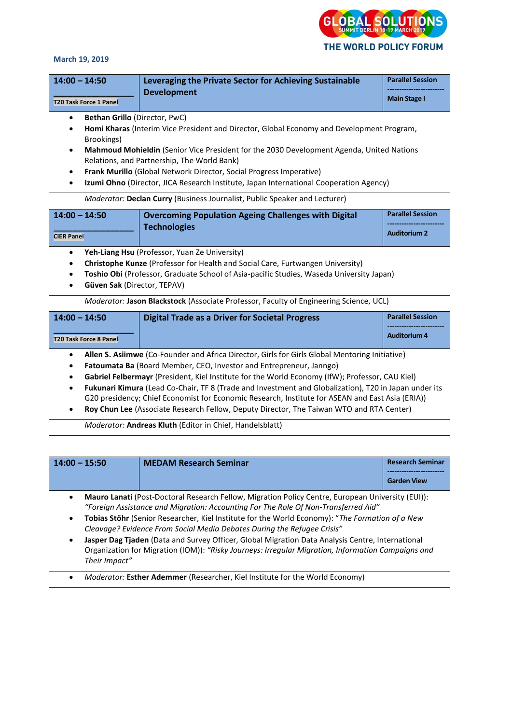

### **March 19, 2019**

| $14:00 - 14:50$                                                                                                                                                                                                                                                                                                                                                                                                                                                                                                                                                                                                                                 |                                                                                                                                                                                                                                                            | Leveraging the Private Sector for Achieving Sustainable                                | <b>Parallel Session</b> |
|-------------------------------------------------------------------------------------------------------------------------------------------------------------------------------------------------------------------------------------------------------------------------------------------------------------------------------------------------------------------------------------------------------------------------------------------------------------------------------------------------------------------------------------------------------------------------------------------------------------------------------------------------|------------------------------------------------------------------------------------------------------------------------------------------------------------------------------------------------------------------------------------------------------------|----------------------------------------------------------------------------------------|-------------------------|
|                                                                                                                                                                                                                                                                                                                                                                                                                                                                                                                                                                                                                                                 | <b>T20 Task Force 1 Panel</b>                                                                                                                                                                                                                              | <b>Development</b>                                                                     | <b>Main Stage I</b>     |
| Bethan Grillo (Director, PwC)<br>٠<br>Homi Kharas (Interim Vice President and Director, Global Economy and Development Program,<br>$\bullet$<br>Brookings)<br>Mahmoud Mohieldin (Senior Vice President for the 2030 Development Agenda, United Nations<br>$\bullet$<br>Relations, and Partnership, The World Bank)<br>Frank Murillo (Global Network Director, Social Progress Imperative)<br>$\bullet$<br>Izumi Ohno (Director, JICA Research Institute, Japan International Cooperation Agency)<br>٠                                                                                                                                           |                                                                                                                                                                                                                                                            |                                                                                        |                         |
|                                                                                                                                                                                                                                                                                                                                                                                                                                                                                                                                                                                                                                                 |                                                                                                                                                                                                                                                            | Moderator: Declan Curry (Business Journalist, Public Speaker and Lecturer)             |                         |
| $14:00 - 14:50$                                                                                                                                                                                                                                                                                                                                                                                                                                                                                                                                                                                                                                 |                                                                                                                                                                                                                                                            | <b>Overcoming Population Ageing Challenges with Digital</b>                            | <b>Parallel Session</b> |
| <b>CIER Panel</b>                                                                                                                                                                                                                                                                                                                                                                                                                                                                                                                                                                                                                               |                                                                                                                                                                                                                                                            | <b>Technologies</b>                                                                    | <b>Auditorium 2</b>     |
| $\bullet$<br>$\bullet$                                                                                                                                                                                                                                                                                                                                                                                                                                                                                                                                                                                                                          | Yeh-Liang Hsu (Professor, Yuan Ze University)<br>Christophe Kunze (Professor for Health and Social Care, Furtwangen University)<br>Toshio Obi (Professor, Graduate School of Asia-pacific Studies, Waseda University Japan)<br>Güven Sak (Director, TEPAV) |                                                                                        |                         |
|                                                                                                                                                                                                                                                                                                                                                                                                                                                                                                                                                                                                                                                 |                                                                                                                                                                                                                                                            | Moderator: Jason Blackstock (Associate Professor, Faculty of Engineering Science, UCL) |                         |
| $14:00 - 14:50$                                                                                                                                                                                                                                                                                                                                                                                                                                                                                                                                                                                                                                 |                                                                                                                                                                                                                                                            | <b>Digital Trade as a Driver for Societal Progress</b>                                 | <b>Parallel Session</b> |
|                                                                                                                                                                                                                                                                                                                                                                                                                                                                                                                                                                                                                                                 | <b>T20 Task Force 8 Panel</b>                                                                                                                                                                                                                              |                                                                                        | <b>Auditorium 4</b>     |
| Allen S. Asiimwe (Co-Founder and Africa Director, Girls for Girls Global Mentoring Initiative)<br>$\bullet$<br>Fatoumata Ba (Board Member, CEO, Investor and Entrepreneur, Janngo)<br>Gabriel Felbermayr (President, Kiel Institute for the World Economy (IfW); Professor, CAU Kiel)<br>Fukunari Kimura (Lead Co-Chair, TF 8 (Trade and Investment and Globalization), T20 in Japan under its<br>$\bullet$<br>G20 presidency; Chief Economist for Economic Research, Institute for ASEAN and East Asia (ERIA))<br>Roy Chun Lee (Associate Research Fellow, Deputy Director, The Taiwan WTO and RTA Center)<br>$-1$ $-1$ $-1$ $-1$<br>$-1$ $-2$ |                                                                                                                                                                                                                                                            |                                                                                        |                         |

*Moderator:* **Andreas Kluth** (Editor in Chief, Handelsblatt)

| $14:00 - 15:50$             |               | <b>MEDAM Research Seminar</b>                                                                                                                                                                                                                                                                                                                                                                                                                                                                                                                                                   | <b>Research Seminar</b><br><b>Garden View</b> |
|-----------------------------|---------------|---------------------------------------------------------------------------------------------------------------------------------------------------------------------------------------------------------------------------------------------------------------------------------------------------------------------------------------------------------------------------------------------------------------------------------------------------------------------------------------------------------------------------------------------------------------------------------|-----------------------------------------------|
| $\bullet$<br>٠<br>$\bullet$ | Their Impact" | Mauro Lanati (Post-Doctoral Research Fellow, Migration Policy Centre, European University (EUI)):<br>"Foreign Assistance and Migration: Accounting For The Role Of Non-Transferred Aid"<br>Tobias Stöhr (Senior Researcher, Kiel Institute for the World Economy): "The Formation of a New<br>Cleavage? Evidence From Social Media Debates During the Refugee Crisis"<br>Jasper Dag Tjaden (Data and Survey Officer, Global Migration Data Analysis Centre, International<br>Organization for Migration (IOM)): "Risky Journeys: Irregular Migration, Information Campaigns and |                                               |
|                             |               | Moderator: Esther Ademmer (Researcher, Kiel Institute for the World Economy)                                                                                                                                                                                                                                                                                                                                                                                                                                                                                                    |                                               |